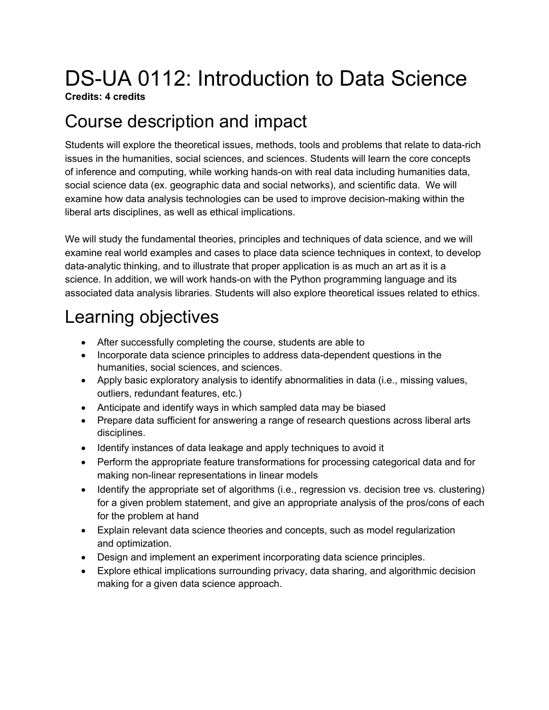# DS-UA 0112: Introduction to Data Science

**Credits: 4 credits**

## Course description and impact

Students will explore the theoretical issues, methods, tools and problems that relate to data-rich issues in the humanities, social sciences, and sciences. Students will learn the core concepts of inference and computing, while working hands-on with real data including humanities data, social science data (ex. geographic data and social networks), and scientific data. We will examine how data analysis technologies can be used to improve decision-making within the liberal arts disciplines, as well as ethical implications.

We will study the fundamental theories, principles and techniques of data science, and we will examine real world examples and cases to place data science techniques in context, to develop data-analytic thinking, and to illustrate that proper application is as much an art as it is a science. In addition, we will work hands-on with the Python programming language and its associated data analysis libraries. Students will also explore theoretical issues related to ethics.

# Learning objectives

- After successfully completing the course, students are able to
- Incorporate data science principles to address data-dependent questions in the humanities, social sciences, and sciences.
- Apply basic exploratory analysis to identify abnormalities in data (i.e., missing values, outliers, redundant features, etc.)
- Anticipate and identify ways in which sampled data may be biased
- Prepare data sufficient for answering a range of research questions across liberal arts disciplines.
- Identify instances of data leakage and apply techniques to avoid it
- Perform the appropriate feature transformations for processing categorical data and for making non-linear representations in linear models
- Identify the appropriate set of algorithms (i.e., regression vs. decision tree vs. clustering) for a given problem statement, and give an appropriate analysis of the pros/cons of each for the problem at hand
- Explain relevant data science theories and concepts, such as model regularization and optimization.
- Design and implement an experiment incorporating data science principles.
- Explore ethical implications surrounding privacy, data sharing, and algorithmic decision making for a given data science approach.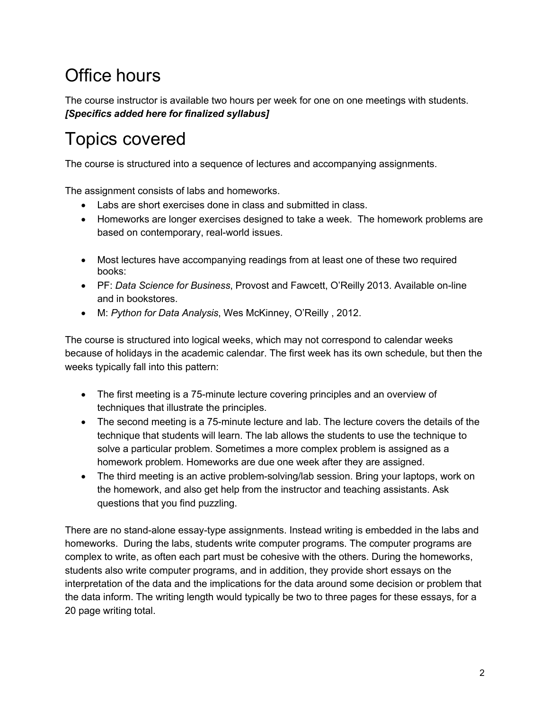# Office hours

The course instructor is available two hours per week for one on one meetings with students. *[Specifics added here for finalized syllabus]*

# Topics covered

The course is structured into a sequence of lectures and accompanying assignments.

The assignment consists of labs and homeworks.

- Labs are short exercises done in class and submitted in class.
- Homeworks are longer exercises designed to take a week. The homework problems are based on contemporary, real-world issues.
- Most lectures have accompanying readings from at least one of these two required books:
- PF: *Data Science for Business*, Provost and Fawcett, O'Reilly 2013. Available on-line and in bookstores.
- M: *Python for Data Analysis*, Wes McKinney, O'Reilly , 2012.

The course is structured into logical weeks, which may not correspond to calendar weeks because of holidays in the academic calendar. The first week has its own schedule, but then the weeks typically fall into this pattern:

- The first meeting is a 75-minute lecture covering principles and an overview of techniques that illustrate the principles.
- The second meeting is a 75-minute lecture and lab. The lecture covers the details of the technique that students will learn. The lab allows the students to use the technique to solve a particular problem. Sometimes a more complex problem is assigned as a homework problem. Homeworks are due one week after they are assigned.
- The third meeting is an active problem-solving/lab session. Bring your laptops, work on the homework, and also get help from the instructor and teaching assistants. Ask questions that you find puzzling.

There are no stand-alone essay-type assignments. Instead writing is embedded in the labs and homeworks. During the labs, students write computer programs. The computer programs are complex to write, as often each part must be cohesive with the others. During the homeworks, students also write computer programs, and in addition, they provide short essays on the interpretation of the data and the implications for the data around some decision or problem that the data inform. The writing length would typically be two to three pages for these essays, for a 20 page writing total.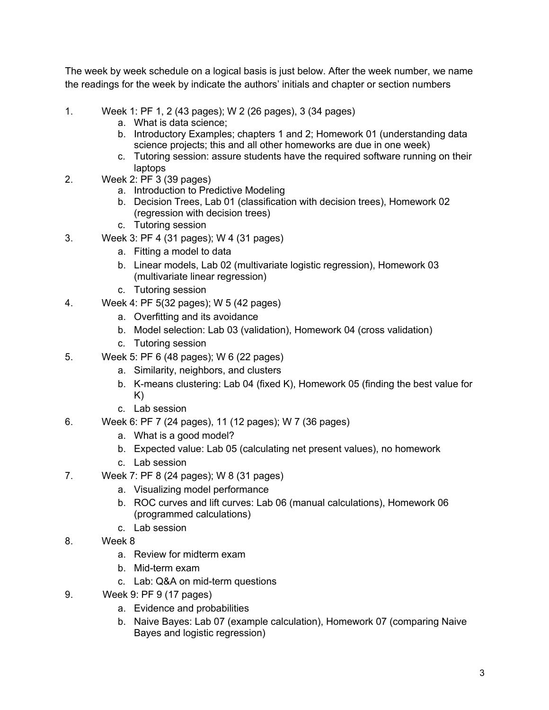The week by week schedule on a logical basis is just below. After the week number, we name the readings for the week by indicate the authors' initials and chapter or section numbers

- 1. Week 1: PF 1, 2 (43 pages); W 2 (26 pages), 3 (34 pages)
	- a. What is data science;
	- b. Introductory Examples; chapters 1 and 2; Homework 01 (understanding data science projects; this and all other homeworks are due in one week)
	- c. Tutoring session: assure students have the required software running on their laptops
- 2. Week 2: PF 3 (39 pages)
	- a. Introduction to Predictive Modeling
	- b. Decision Trees, Lab 01 (classification with decision trees), Homework 02 (regression with decision trees)
	- c. Tutoring session
- 3. Week 3: PF 4 (31 pages); W 4 (31 pages)
	- a. Fitting a model to data
	- b. Linear models, Lab 02 (multivariate logistic regression), Homework 03 (multivariate linear regression)
	- c. Tutoring session
- 4. Week 4: PF 5(32 pages); W 5 (42 pages)
	- a. Overfitting and its avoidance
	- b. Model selection: Lab 03 (validation), Homework 04 (cross validation)
	- c. Tutoring session
- 5. Week 5: PF 6 (48 pages); W 6 (22 pages)
	- a. Similarity, neighbors, and clusters
	- b. K-means clustering: Lab 04 (fixed K), Homework 05 (finding the best value for K)
	- c. Lab session
- 6. Week 6: PF 7 (24 pages), 11 (12 pages); W 7 (36 pages)
	- a. What is a good model?
	- b. Expected value: Lab 05 (calculating net present values), no homework
	- c. Lab session
- 7. Week 7: PF 8 (24 pages); W 8 (31 pages)
	- a. Visualizing model performance
	- b. ROC curves and lift curves: Lab 06 (manual calculations), Homework 06 (programmed calculations)
	- c. Lab session
- 8. Week 8
	- a. Review for midterm exam
	- b. Mid-term exam
	- c. Lab: Q&A on mid-term questions
- 9. Week 9: PF 9 (17 pages)
	- a. Evidence and probabilities
	- b. Naive Bayes: Lab 07 (example calculation), Homework 07 (comparing Naive Bayes and logistic regression)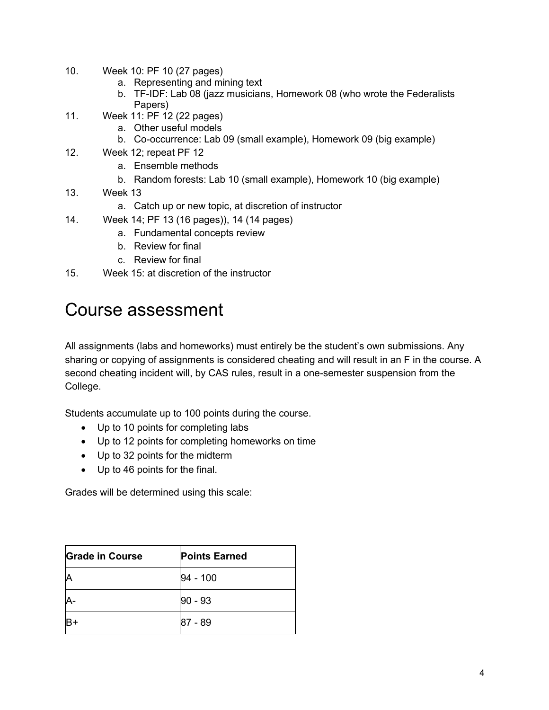- 10. Week 10: PF 10 (27 pages)
	- a. Representing and mining text
	- b. TF-IDF: Lab 08 (jazz musicians, Homework 08 (who wrote the Federalists Papers)
- 11. Week 11: PF 12 (22 pages)
	- a. Other useful models
	- b. Co-occurrence: Lab 09 (small example), Homework 09 (big example)
- 12. Week 12; repeat PF 12
	- a. Ensemble methods
	- b. Random forests: Lab 10 (small example), Homework 10 (big example)
- 13. Week 13
	- a. Catch up or new topic, at discretion of instructor
- 14. Week 14; PF 13 (16 pages)), 14 (14 pages)
	- a. Fundamental concepts review
	- b. Review for final
	- c. Review for final
- 15. Week 15: at discretion of the instructor

#### Course assessment

All assignments (labs and homeworks) must entirely be the student's own submissions. Any sharing or copying of assignments is considered cheating and will result in an F in the course. A second cheating incident will, by CAS rules, result in a one-semester suspension from the College.

Students accumulate up to 100 points during the course.

- Up to 10 points for completing labs
- Up to 12 points for completing homeworks on time
- Up to 32 points for the midterm
- Up to 46 points for the final.

Grades will be determined using this scale:

| <b>Grade in Course</b> | <b>Points Earned</b> |
|------------------------|----------------------|
| Α                      | 94 - 100             |
| A                      | $90 - 93$            |
|                        | 187 - 89             |